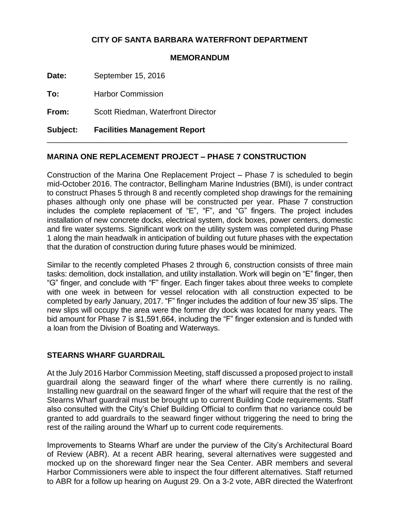## **CITY OF SANTA BARBARA WATERFRONT DEPARTMENT**

## **MEMORANDUM**

**Date:** September 15, 2016

**To:** Harbor Commission

**From:** Scott Riedman, Waterfront Director

**Subject: Facilities Management Report**

## **MARINA ONE REPLACEMENT PROJECT – PHASE 7 CONSTRUCTION**

Construction of the Marina One Replacement Project – Phase 7 is scheduled to begin mid-October 2016. The contractor, Bellingham Marine Industries (BMI), is under contract to construct Phases 5 through 8 and recently completed shop drawings for the remaining phases although only one phase will be constructed per year. Phase 7 construction includes the complete replacement of "E", "F", and "G" fingers. The project includes installation of new concrete docks, electrical system, dock boxes, power centers, domestic and fire water systems. Significant work on the utility system was completed during Phase 1 along the main headwalk in anticipation of building out future phases with the expectation that the duration of construction during future phases would be minimized.

\_\_\_\_\_\_\_\_\_\_\_\_\_\_\_\_\_\_\_\_\_\_\_\_\_\_\_\_\_\_\_\_\_\_\_\_\_\_\_\_\_\_\_\_\_\_\_\_\_\_\_\_\_\_\_\_\_\_\_\_\_\_\_\_\_\_\_\_\_

Similar to the recently completed Phases 2 through 6, construction consists of three main tasks: demolition, dock installation, and utility installation. Work will begin on "E" finger, then "G" finger, and conclude with "F" finger. Each finger takes about three weeks to complete with one week in between for vessel relocation with all construction expected to be completed by early January, 2017. "F" finger includes the addition of four new 35' slips. The new slips will occupy the area were the former dry dock was located for many years. The bid amount for Phase 7 is \$1,591,664, including the "F" finger extension and is funded with a loan from the Division of Boating and Waterways.

## **STEARNS WHARF GUARDRAIL**

At the July 2016 Harbor Commission Meeting, staff discussed a proposed project to install guardrail along the seaward finger of the wharf where there currently is no railing. Installing new guardrail on the seaward finger of the wharf will require that the rest of the Stearns Wharf guardrail must be brought up to current Building Code requirements. Staff also consulted with the City's Chief Building Official to confirm that no variance could be granted to add guardrails to the seaward finger without triggering the need to bring the rest of the railing around the Wharf up to current code requirements.

Improvements to Stearns Wharf are under the purview of the City's Architectural Board of Review (ABR). At a recent ABR hearing, several alternatives were suggested and mocked up on the shoreward finger near the Sea Center. ABR members and several Harbor Commissioners were able to inspect the four different alternatives. Staff returned to ABR for a follow up hearing on August 29. On a 3-2 vote, ABR directed the Waterfront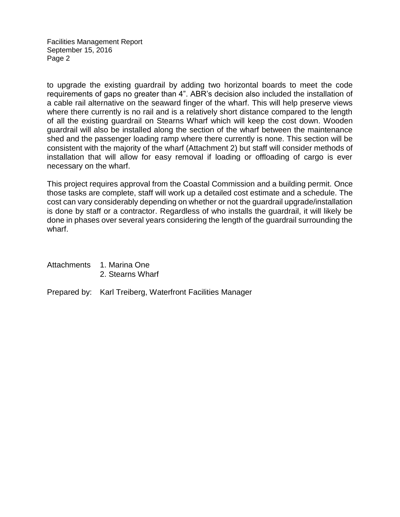Facilities Management Report September 15, 2016 Page 2

to upgrade the existing guardrail by adding two horizontal boards to meet the code requirements of gaps no greater than 4". ABR's decision also included the installation of a cable rail alternative on the seaward finger of the wharf. This will help preserve views where there currently is no rail and is a relatively short distance compared to the length of all the existing guardrail on Stearns Wharf which will keep the cost down. Wooden guardrail will also be installed along the section of the wharf between the maintenance shed and the passenger loading ramp where there currently is none. This section will be consistent with the majority of the wharf (Attachment 2) but staff will consider methods of installation that will allow for easy removal if loading or offloading of cargo is ever necessary on the wharf.

This project requires approval from the Coastal Commission and a building permit. Once those tasks are complete, staff will work up a detailed cost estimate and a schedule. The cost can vary considerably depending on whether or not the guardrail upgrade/installation is done by staff or a contractor. Regardless of who installs the guardrail, it will likely be done in phases over several years considering the length of the guardrail surrounding the wharf.

| Attachments | 1. Marina One    |
|-------------|------------------|
|             | 2. Stearns Wharf |

Prepared by: Karl Treiberg, Waterfront Facilities Manager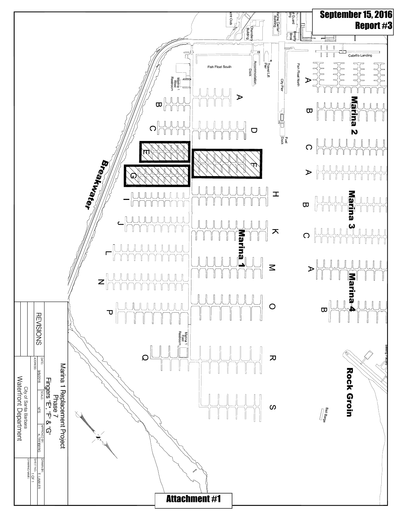